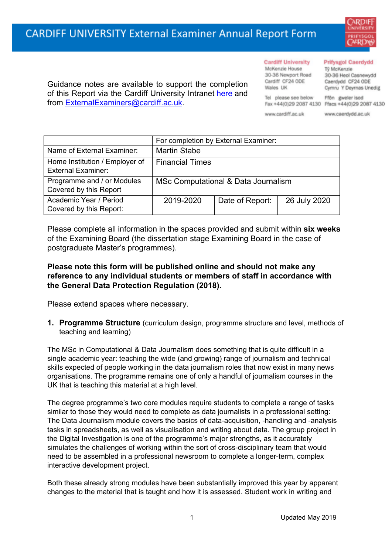

### **Cardiff University**

McKenzie House 30-36 Newport Road Cardiff CF24 ODE Wales UK

Tel please see below

www.cardiff.ac.uk

#### **Prifysgol Caerdydd**

Tỹ McKenzie 30-36 Heol Casnewydd Caerdydd CF24 ODE Cymru Y Deyrnas Unedig

Ffön gweler isod Fax +44(0)29 2087 4130 Ffacs +44(0)29 2087 4130

www.caerdydd.ac.uk

Guidance notes are available to support the completion of this Report via the Cardiff University Intranet [here](https://intranet.cardiff.ac.uk/staff/teaching-and-supporting-students/exams-and-assessment/exam-boards-and-external-examiners/for-current-external-examiners/external-examiners-reports) and from [ExternalExaminers@cardiff.ac.uk](mailto:ExternalExaminers@cardiff.ac.uk).

### For completion by External Examiner: Name of External Examiner: | Martin Stabe Home Institution / Employer of External Examiner: Financial Times Programme and / or Modules Covered by this Report MSc Computational & Data Journalism Academic Year / Period Covered by this Report: 2019-2020 Date of Report: 26 July 2020

Please complete all information in the spaces provided and submit within **six weeks** of the Examining Board (the dissertation stage Examining Board in the case of postgraduate Master's programmes).

## **Please note this form will be published online and should not make any reference to any individual students or members of staff in accordance with the General Data Protection Regulation (2018).**

Please extend spaces where necessary.

**1. Programme Structure** (curriculum design, programme structure and level, methods of teaching and learning)

The MSc in Computational & Data Journalism does something that is quite difficult in a single academic year: teaching the wide (and growing) range of journalism and technical skills expected of people working in the data journalism roles that now exist in many news organisations. The programme remains one of only a handful of journalism courses in the UK that is teaching this material at a high level.

The degree programme's two core modules require students to complete a range of tasks similar to those they would need to complete as data journalists in a professional setting: The Data Journalism module covers the basics of data-acquisition, -handling and -analysis tasks in spreadsheets, as well as visualisation and writing about data. The group project in the Digital Investigation is one of the programme's major strengths, as it accurately simulates the challenges of working within the sort of cross-disciplinary team that would need to be assembled in a professional newsroom to complete a longer-term, complex interactive development project.

Both these already strong modules have been substantially improved this year by apparent changes to the material that is taught and how it is assessed. Student work in writing and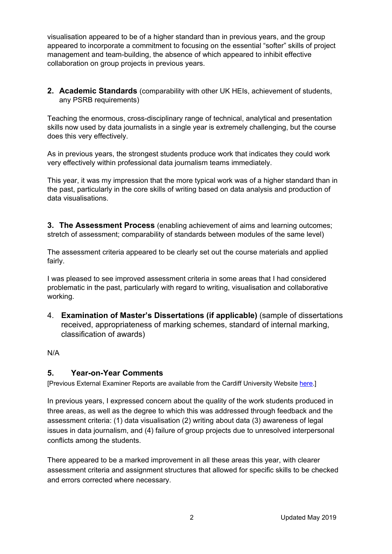visualisation appeared to be of a higher standard than in previous years, and the group appeared to incorporate a commitment to focusing on the essential "softer" skills of project management and team-building, the absence of which appeared to inhibit effective collaboration on group projects in previous years.

**2. Academic Standards** (comparability with other UK HEIs, achievement of students, any PSRB requirements)

Teaching the enormous, cross-disciplinary range of technical, analytical and presentation skills now used by data journalists in a single year is extremely challenging, but the course does this very effectively.

As in previous years, the strongest students produce work that indicates they could work very effectively within professional data journalism teams immediately.

This year, it was my impression that the more typical work was of a higher standard than in the past, particularly in the core skills of writing based on data analysis and production of data visualisations.

**3. The Assessment Process** (enabling achievement of aims and learning outcomes; stretch of assessment; comparability of standards between modules of the same level)

The assessment criteria appeared to be clearly set out the course materials and applied fairly.

I was pleased to see improved assessment criteria in some areas that I had considered problematic in the past, particularly with regard to writing, visualisation and collaborative working.

4. **Examination of Master's Dissertations (if applicable)** (sample of dissertations received, appropriateness of marking schemes, standard of internal marking, classification of awards)

N/A

### **5. Year-on-Year Comments**

[Previous External Examiner Reports are available from the Cardiff University Website [here.](https://www.cardiff.ac.uk/public-information/quality-and-standards/external-examiner-reports)]

In previous years, I expressed concern about the quality of the work students produced in three areas, as well as the degree to which this was addressed through feedback and the assessment criteria: (1) data visualisation (2) writing about data (3) awareness of legal issues in data journalism, and (4) failure of group projects due to unresolved interpersonal conflicts among the students.

There appeared to be a marked improvement in all these areas this year, with clearer assessment criteria and assignment structures that allowed for specific skills to be checked and errors corrected where necessary.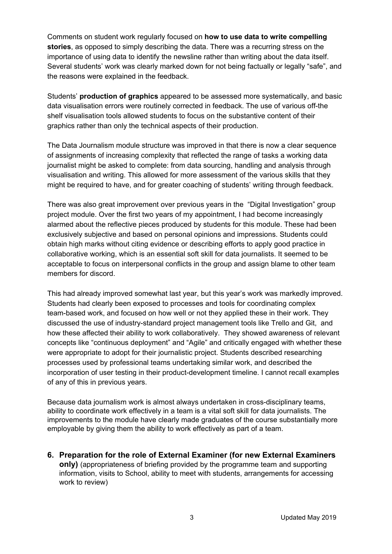Comments on student work regularly focused on **how to use data to write compelling stories**, as opposed to simply describing the data. There was a recurring stress on the importance of using data to identify the newsline rather than writing about the data itself. Several students' work was clearly marked down for not being factually or legally "safe", and the reasons were explained in the feedback.

Students' **production of graphics** appeared to be assessed more systematically, and basic data visualisation errors were routinely corrected in feedback. The use of various off-the shelf visualisation tools allowed students to focus on the substantive content of their graphics rather than only the technical aspects of their production.

The Data Journalism module structure was improved in that there is now a clear sequence of assignments of increasing complexity that reflected the range of tasks a working data journalist might be asked to complete: from data sourcing, handling and analysis through visualisation and writing. This allowed for more assessment of the various skills that they might be required to have, and for greater coaching of students' writing through feedback.

There was also great improvement over previous years in the "Digital Investigation" group project module. Over the first two years of my appointment, I had become increasingly alarmed about the reflective pieces produced by students for this module. These had been exclusively subjective and based on personal opinions and impressions. Students could obtain high marks without citing evidence or describing efforts to apply good practice in collaborative working, which is an essential soft skill for data journalists. It seemed to be acceptable to focus on interpersonal conflicts in the group and assign blame to other team members for discord.

This had already improved somewhat last year, but this year's work was markedly improved. Students had clearly been exposed to processes and tools for coordinating complex team-based work, and focused on how well or not they applied these in their work. They discussed the use of industry-standard project management tools like Trello and Git, and how these affected their ability to work collaboratively. They showed awareness of relevant concepts like "continuous deployment" and "Agile" and critically engaged with whether these were appropriate to adopt for their journalistic project. Students described researching processes used by professional teams undertaking similar work, and described the incorporation of user testing in their product-development timeline. I cannot recall examples of any of this in previous years.

Because data journalism work is almost always undertaken in cross-disciplinary teams, ability to coordinate work effectively in a team is a vital soft skill for data journalists. The improvements to the module have clearly made graduates of the course substantially more employable by giving them the ability to work effectively as part of a team.

**6. Preparation for the role of External Examiner (for new External Examiners only)** (appropriateness of briefing provided by the programme team and supporting information, visits to School, ability to meet with students, arrangements for accessing work to review)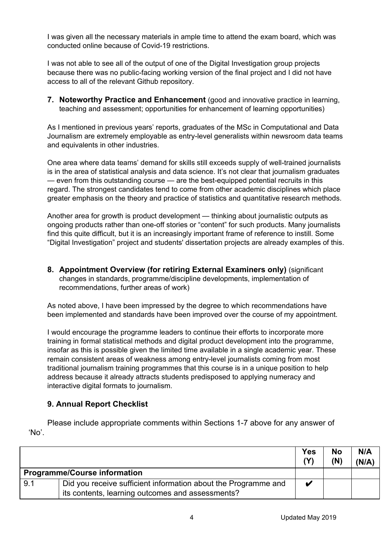I was given all the necessary materials in ample time to attend the exam board, which was conducted online because of Covid-19 restrictions.

I was not able to see all of the output of one of the Digital Investigation group projects because there was no public-facing working version of the final project and I did not have access to all of the relevant Github repository.

**7. Noteworthy Practice and Enhancement** (good and innovative practice in learning, teaching and assessment; opportunities for enhancement of learning opportunities)

As I mentioned in previous years' reports, graduates of the MSc in Computational and Data Journalism are extremely employable as entry-level generalists within newsroom data teams and equivalents in other industries.

One area where data teams' demand for skills still exceeds supply of well-trained journalists is in the area of statistical analysis and data science. It's not clear that journalism graduates — even from this outstanding course — are the best-equipped potential recruits in this regard. The strongest candidates tend to come from other academic disciplines which place greater emphasis on the theory and practice of statistics and quantitative research methods.

Another area for growth is product development — thinking about journalistic outputs as ongoing products rather than one-off stories or "content" for such products. Many journalists find this quite difficult, but it is an increasingly important frame of reference to instill. Some "Digital Investigation" project and students' dissertation projects are already examples of this.

**8. Appointment Overview (for retiring External Examiners only)** (significant changes in standards, programme/discipline developments, implementation of recommendations, further areas of work)

As noted above, I have been impressed by the degree to which recommendations have been implemented and standards have been improved over the course of my appointment.

I would encourage the programme leaders to continue their efforts to incorporate more training in formal statistical methods and digital product development into the programme, insofar as this is possible given the limited time available in a single academic year. These remain consistent areas of weakness among entry-level journalists coming from most traditional journalism training programmes that this course is in a unique position to help address because it already attracts students predisposed to applying numeracy and interactive digital formats to journalism.

# **9. Annual Report Checklist**

Please include appropriate comments within Sections 1-7 above for any answer of 'No'.

|                                     |                                                                                                                    | <b>Yes</b><br>(Y) | <b>No</b><br>(N) | N/A<br>(N/A) |
|-------------------------------------|--------------------------------------------------------------------------------------------------------------------|-------------------|------------------|--------------|
| <b>Programme/Course information</b> |                                                                                                                    |                   |                  |              |
| 9.1                                 | Did you receive sufficient information about the Programme and<br>its contents, learning outcomes and assessments? | V                 |                  |              |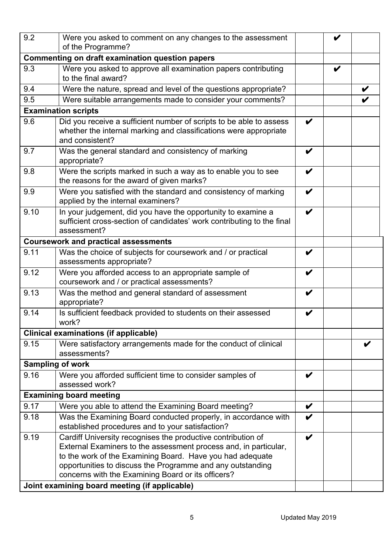| 9.2  | Were you asked to comment on any changes to the assessment                                                                                                                                                                                                                                                                                                         |                    | V |  |
|------|--------------------------------------------------------------------------------------------------------------------------------------------------------------------------------------------------------------------------------------------------------------------------------------------------------------------------------------------------------------------|--------------------|---|--|
|      | of the Programme?<br><b>Commenting on draft examination question papers</b>                                                                                                                                                                                                                                                                                        |                    |   |  |
| 9.3  | Were you asked to approve all examination papers contributing                                                                                                                                                                                                                                                                                                      |                    | V |  |
|      | to the final award?                                                                                                                                                                                                                                                                                                                                                |                    |   |  |
| 9.4  | Were the nature, spread and level of the questions appropriate?                                                                                                                                                                                                                                                                                                    |                    |   |  |
| 9.5  | Were suitable arrangements made to consider your comments?                                                                                                                                                                                                                                                                                                         |                    |   |  |
|      | <b>Examination scripts</b>                                                                                                                                                                                                                                                                                                                                         |                    |   |  |
| 9.6  | Did you receive a sufficient number of scripts to be able to assess<br>whether the internal marking and classifications were appropriate<br>and consistent?                                                                                                                                                                                                        | $\boldsymbol{\nu}$ |   |  |
| 9.7  | Was the general standard and consistency of marking<br>appropriate?                                                                                                                                                                                                                                                                                                | V                  |   |  |
| 9.8  | Were the scripts marked in such a way as to enable you to see<br>the reasons for the award of given marks?                                                                                                                                                                                                                                                         | V                  |   |  |
| 9.9  | Were you satisfied with the standard and consistency of marking<br>applied by the internal examiners?                                                                                                                                                                                                                                                              | V                  |   |  |
| 9.10 | In your judgement, did you have the opportunity to examine a<br>sufficient cross-section of candidates' work contributing to the final<br>assessment?                                                                                                                                                                                                              | V                  |   |  |
|      | <b>Coursework and practical assessments</b>                                                                                                                                                                                                                                                                                                                        |                    |   |  |
| 9.11 | Was the choice of subjects for coursework and / or practical<br>assessments appropriate?                                                                                                                                                                                                                                                                           | V                  |   |  |
| 9.12 | Were you afforded access to an appropriate sample of<br>coursework and / or practical assessments?                                                                                                                                                                                                                                                                 | V                  |   |  |
| 9.13 | Was the method and general standard of assessment<br>appropriate?                                                                                                                                                                                                                                                                                                  | V                  |   |  |
| 9.14 | Is sufficient feedback provided to students on their assessed<br>work?                                                                                                                                                                                                                                                                                             | V                  |   |  |
|      | <b>Clinical examinations (if applicable)</b>                                                                                                                                                                                                                                                                                                                       |                    |   |  |
| 9.15 | Were satisfactory arrangements made for the conduct of clinical<br>assessments?                                                                                                                                                                                                                                                                                    |                    |   |  |
|      | <b>Sampling of work</b>                                                                                                                                                                                                                                                                                                                                            |                    |   |  |
| 9.16 | Were you afforded sufficient time to consider samples of<br>assessed work?                                                                                                                                                                                                                                                                                         | V                  |   |  |
|      | <b>Examining board meeting</b>                                                                                                                                                                                                                                                                                                                                     |                    |   |  |
| 9.17 | Were you able to attend the Examining Board meeting?                                                                                                                                                                                                                                                                                                               | V                  |   |  |
| 9.18 | Was the Examining Board conducted properly, in accordance with<br>established procedures and to your satisfaction?                                                                                                                                                                                                                                                 | V                  |   |  |
| 9.19 | Cardiff University recognises the productive contribution of<br>External Examiners to the assessment process and, in particular,<br>to the work of the Examining Board. Have you had adequate<br>opportunities to discuss the Programme and any outstanding<br>concerns with the Examining Board or its officers?<br>Joint examining board meeting (if applicable) | V                  |   |  |
|      |                                                                                                                                                                                                                                                                                                                                                                    |                    |   |  |